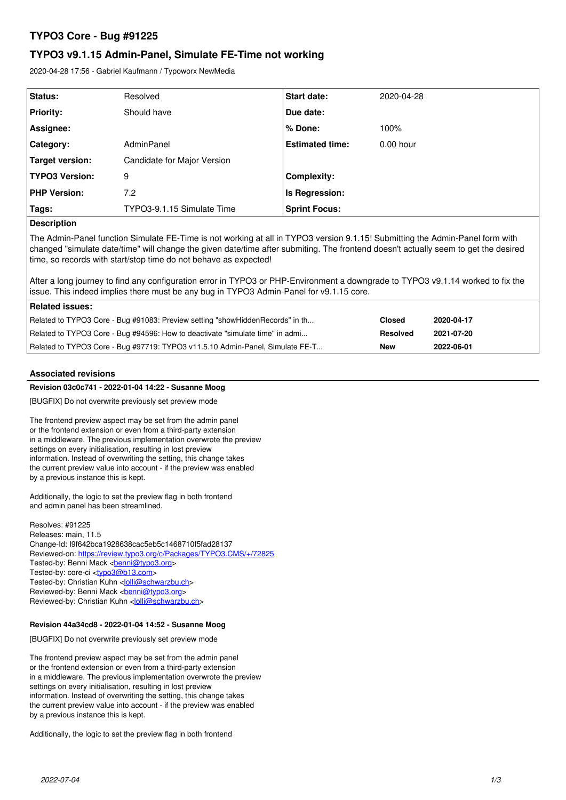# **TYPO3 Core - Bug #91225**

# **TYPO3 v9.1.15 Admin-Panel, Simulate FE-Time not working**

2020-04-28 17:56 - Gabriel Kaufmann / Typoworx NewMedia

| Status:               | Resolved                    | <b>Start date:</b>     | 2020-04-28  |
|-----------------------|-----------------------------|------------------------|-------------|
| <b>Priority:</b>      | Should have                 | Due date:              |             |
| Assignee:             |                             | $%$ Done:              | 100%        |
| Category:             | AdminPanel                  | <b>Estimated time:</b> | $0.00$ hour |
| Target version:       | Candidate for Major Version |                        |             |
| <b>TYPO3 Version:</b> | 9                           | <b>Complexity:</b>     |             |
| <b>PHP Version:</b>   | 7.2                         | Is Regression:         |             |
| Tags:                 | TYPO3-9.1.15 Simulate Time  | <b>Sprint Focus:</b>   |             |
| _ _ _                 |                             |                        |             |

## **Description**

The Admin-Panel function Simulate FE-Time is not working at all in TYPO3 version 9.1.15! Submitting the Admin-Panel form with changed "simulate date/time" will change the given date/time after submiting. The frontend doesn't actually seem to get the desired time, so records with start/stop time do not behave as expected!

After a long journey to find any configuration error in TYPO3 or PHP-Environment a downgrade to TYPO3 v9.1.14 worked to fix the issue. This indeed implies there must be any bug in TYPO3 Admin-Panel for v9.1.15 core.

| Related issues:                                                               |                 |            |  |  |
|-------------------------------------------------------------------------------|-----------------|------------|--|--|
| Related to TYPO3 Core - Bug #91083: Preview setting "showHiddenRecords" in th | <b>Closed</b>   | 2020-04-17 |  |  |
| Related to TYPO3 Core - Bug #94596: How to deactivate "simulate time" in admi | <b>Resolved</b> | 2021-07-20 |  |  |
| Related to TYPO3 Core - Bug #97719: TYPO3 v11.5.10 Admin-Panel, Simulate FE-T | <b>New</b>      | 2022-06-01 |  |  |

### **Associated revisions**

### **Revision 03c0c741 - 2022-01-04 14:22 - Susanne Moog**

[BUGFIX] Do not overwrite previously set preview mode

The frontend preview aspect may be set from the admin panel or the frontend extension or even from a third-party extension in a middleware. The previous implementation overwrote the preview settings on every initialisation, resulting in lost preview information. Instead of overwriting the setting, this change takes the current preview value into account - if the preview was enabled by a previous instance this is kept.

Additionally, the logic to set the preview flag in both frontend and admin panel has been streamlined.

Resolves: #91225 Releases: main, 11.5 Change-Id: I9f642bca1928638cac5eb5c1468710f5fad28137 Reviewed-on:<https://review.typo3.org/c/Packages/TYPO3.CMS/+/72825> Tested-by: Benni Mack <[benni@typo3.org>](mailto:benni@typo3.org) Tested-by: core-ci [<typo3@b13.com](mailto:typo3@b13.com)> Tested-by: Christian Kuhn <[lolli@schwarzbu.ch](mailto:lolli@schwarzbu.ch)> Reviewed-by: Benni Mack <br /> **[benni@typo3.org>](mailto:benni@typo3.org)** Reviewed-by: Christian Kuhn [<lolli@schwarzbu.ch>](mailto:lolli@schwarzbu.ch)

### **Revision 44a34cd8 - 2022-01-04 14:52 - Susanne Moog**

[BUGFIX] Do not overwrite previously set preview mode

The frontend preview aspect may be set from the admin panel or the frontend extension or even from a third-party extension in a middleware. The previous implementation overwrote the preview settings on every initialisation, resulting in lost preview information. Instead of overwriting the setting, this change takes the current preview value into account - if the preview was enabled by a previous instance this is kept.

Additionally, the logic to set the preview flag in both frontend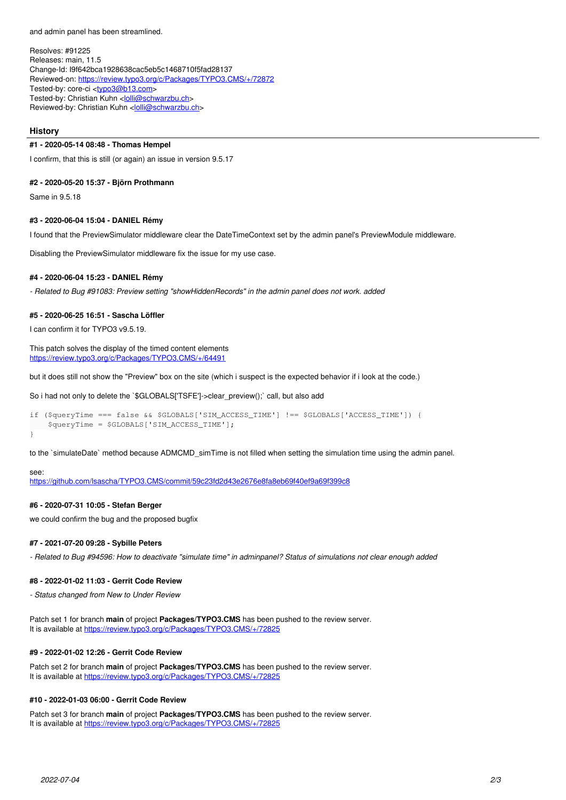and admin panel has been streamlined.

Resolves: #91225 Releases: main, 11.5 Change-Id: I9f642bca1928638cac5eb5c1468710f5fad28137 Reviewed-on:<https://review.typo3.org/c/Packages/TYPO3.CMS/+/72872> Tested-by: core-ci [<typo3@b13.com](mailto:typo3@b13.com)> Tested-by: Christian Kuhn <*[lolli@schwarzbu.ch](mailto:lolli@schwarzbu.ch)>* Reviewed-by: Christian Kuhn [<lolli@schwarzbu.ch>](mailto:lolli@schwarzbu.ch)

#### **History**

### **#1 - 2020-05-14 08:48 - Thomas Hempel**

I confirm, that this is still (or again) an issue in version 9.5.17

#### **#2 - 2020-05-20 15:37 - Björn Prothmann**

Same in 9.5.18

#### **#3 - 2020-06-04 15:04 - DANIEL Rémy**

I found that the PreviewSimulator middleware clear the DateTimeContext set by the admin panel's PreviewModule middleware.

Disabling the PreviewSimulator middleware fix the issue for my use case.

#### **#4 - 2020-06-04 15:23 - DANIEL Rémy**

*- Related to Bug #91083: Preview setting "showHiddenRecords" in the admin panel does not work. added*

#### **#5 - 2020-06-25 16:51 - Sascha Löffler**

I can confirm it for TYPO3 v9.5.19.

This patch solves the display of the timed content elements <https://review.typo3.org/c/Packages/TYPO3.CMS/+/64491>

but it does still not show the "Preview" box on the site (which i suspect is the expected behavior if i look at the code.)

So i had not only to delete the `\$GLOBALS['TSFE']->clear\_preview();` call, but also add

```
if ($queryTime === false && $GLOBALS['SIM_ACCESS_TIME'] !== $GLOBALS['ACCESS_TIME']) {
       $queryTime = $GLOBALS['SIM_ACCESS_TIME'];
}
```
to the `simulateDate` method because ADMCMD simTime is not filled when setting the simulation time using the admin panel.

### see:

<https://github.com/lsascha/TYPO3.CMS/commit/59c23fd2d43e2676e8fa8eb69f40ef9a69f399c8>

### **#6 - 2020-07-31 10:05 - Stefan Berger**

we could confirm the bug and the proposed bugfix

### **#7 - 2021-07-20 09:28 - Sybille Peters**

*- Related to Bug #94596: How to deactivate "simulate time" in adminpanel? Status of simulations not clear enough added*

## **#8 - 2022-01-02 11:03 - Gerrit Code Review**

*- Status changed from New to Under Review*

Patch set 1 for branch **main** of project **Packages/TYPO3.CMS** has been pushed to the review server. It is available at https://review.typo3.org/c/Packages/TYPO3.CMS/+/7282

## **#9 - 2022-01-02 12:26 - Gerrit Code Review**

Patch set 2 for branch **main** of project **Packages/TYPO3.CMS** has been pushed to the review server. It is available at <https://review.typo3.org/c/Packages/TYPO3.CMS/+/72825>

## **#10 - 2022-01-03 06:00 - Gerrit Code Review**

Patch set 3 for branch **main** of project **Packages/TYPO3.CMS** has been pushed to the review server. It is available at <https://review.typo3.org/c/Packages/TYPO3.CMS/+/72825>